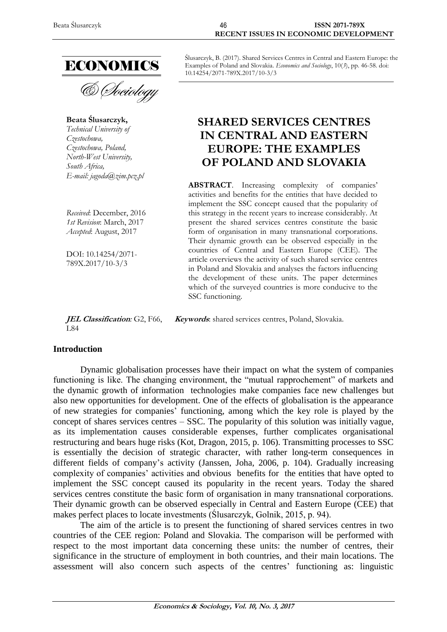

& Sociology

**Beata Ślusarczyk,** *Technical University of Czestochowa, Czestochowa, Poland, North-West University, South Africa, E-mail: jagoda@zim.pcz.pl*

*Received*: December, 2016 *1st Revision*: March, 2017 *Accepted*: August, 2017

DOI: 10.14254/2071- 789X.2017/10-3/3

**JEL Classification***:* G2, F66, L84 **Keywords**: shared services centres, Poland, Slovakia.

#### **Introduction**

Dynamic globalisation processes have their impact on what the system of companies functioning is like. The changing environment, the "mutual rapprochement" of markets and the dynamic growth of information technologies make companies face new challenges but also new opportunities for development. One of the effects of globalisation is the appearance of new strategies for companies' functioning, among which the key role is played by the concept of shares services centres – SSC. The popularity of this solution was initially vague, as its implementation causes considerable expenses, further complicates organisational restructuring and bears huge risks (Kot, Dragon, 2015, p. 106). Transmitting processes to SSC is essentially the decision of strategic character, with rather long-term consequences in different fields of company's activity (Janssen, Joha, 2006, p. 104). Gradually increasing complexity of companies' activities and obvious benefits for the entities that have opted to implement the SSC concept caused its popularity in the recent years. Today the shared services centres constitute the basic form of organisation in many transnational corporations. Their dynamic growth can be observed especially in Central and Eastern Europe (CEE) that makes perfect places to locate investments (Ślusarczyk, Golnik, 2015, p. 94).

The aim of the article is to present the functioning of shared services centres in two countries of the CEE region: Poland and Slovakia. The comparison will be performed with respect to the most important data concerning these units: the number of centres, their significance in the structure of employment in both countries, and their main locations. The assessment will also concern such aspects of the centres' functioning as: linguistic

Ślusarczyk, B. (2017). Shared Services Centres in Central and Eastern Europe: the Examples of Poland and Slovakia. *Economics and Sociology*, 10(*3*), pp. 46-58. doi: 10.14254/2071-789X.2017/10-3/3

# **SHARED SERVICES CENTRES IN CENTRAL AND EASTERN EUROPE: THE EXAMPLES OF POLAND AND SLOVAKIA**

**ABSTRACT**. Increasing complexity of companies' activities and benefits for the entities that have decided to implement the SSC concept caused that the popularity of this strategy in the recent years to increase considerably. At present the shared services centres constitute the basic form of organisation in many transnational corporations. Their dynamic growth can be observed especially in the countries of Central and Eastern Europe (CEE). The article overviews the activity of such shared service centres in Poland and Slovakia and analyses the factors influencing the development of these units. The paper determines which of the surveyed countries is more conducive to the SSC functioning.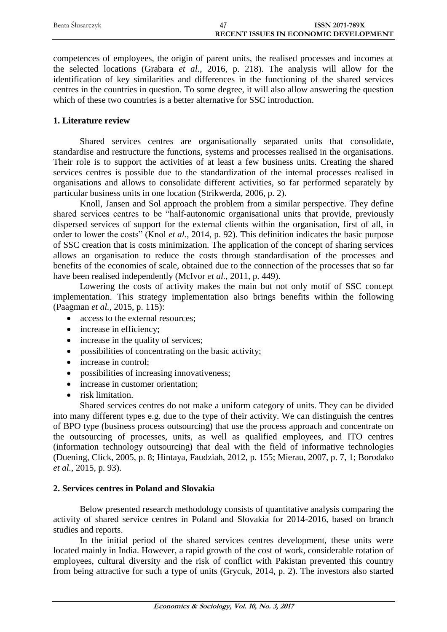| Beata Slusarczyk | <b>ISSN 2071-789X</b>                        |
|------------------|----------------------------------------------|
|                  | <b>RECENT ISSUES IN ECONOMIC DEVELOPMENT</b> |

competences of employees, the origin of parent units, the realised processes and incomes at the selected locations (Grabara *et al.*, 2016, p. 218). The analysis will allow for the identification of key similarities and differences in the functioning of the shared services centres in the countries in question. To some degree, it will also allow answering the question which of these two countries is a better alternative for SSC introduction.

#### **1. Literature review**

Shared services centres are organisationally separated units that consolidate, standardise and restructure the functions, systems and processes realised in the organisations. Their role is to support the activities of at least a few business units. Creating the shared services centres is possible due to the standardization of the internal processes realised in organisations and allows to consolidate different activities, so far performed separately by particular business units in one location (Strikwerda, 2006, p. 2).

Knoll, Jansen and Sol approach the problem from a similar perspective. They define shared services centres to be "half-autonomic organisational units that provide, previously dispersed services of support for the external clients within the organisation, first of all, in order to lower the costs" (Knol *et al.*, 2014, p. 92). This definition indicates the basic purpose of SSC creation that is costs minimization. The application of the concept of sharing services allows an organisation to reduce the costs through standardisation of the processes and benefits of the economies of scale, obtained due to the connection of the processes that so far have been realised independently (McIvor *et al.*, 2011, p. 449).

Lowering the costs of activity makes the main but not only motif of SSC concept implementation. This strategy implementation also brings benefits within the following (Paagman *et al.*, 2015, p. 115):

- access to the external resources:
- increase in efficiency;
- increase in the quality of services;
- possibilities of concentrating on the basic activity;
- increase in control;
- possibilities of increasing innovativeness;
- increase in customer orientation:
- risk limitation.

Shared services centres do not make a uniform category of units. They can be divided into many different types e.g. due to the type of their activity. We can distinguish the centres of BPO type (business process outsourcing) that use the process approach and concentrate on the outsourcing of processes, units, as well as qualified employees, and ITO centres (information technology outsourcing) that deal with the field of informative technologies (Duening, Click, 2005, p. 8; Hintaya, Faudziah, 2012, p. 155; Mierau, 2007, p. 7, 1; Borodako *et al.*, 2015, p. 93).

## **2. Services centres in Poland and Slovakia**

Below presented research methodology consists of quantitative analysis comparing the activity of shared service centres in Poland and Slovakia for 2014-2016, based on branch studies and reports.

In the initial period of the shared services centres development, these units were located mainly in India. However, a rapid growth of the cost of work, considerable rotation of employees, cultural diversity and the risk of conflict with Pakistan prevented this country from being attractive for such a type of units (Grycuk, 2014, p. 2). The investors also started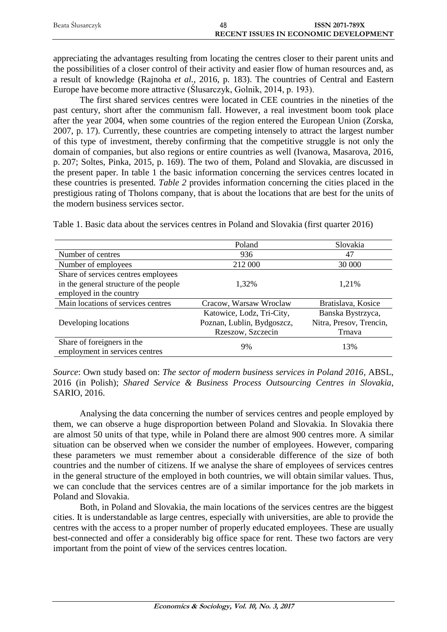| Beata Slusarczyk | 48 | <b>ISSN 2071-789X</b>                        |
|------------------|----|----------------------------------------------|
|                  |    | <b>RECENT ISSUES IN ECONOMIC DEVELOPMENT</b> |

appreciating the advantages resulting from locating the centres closer to their parent units and the possibilities of a closer control of their activity and easier flow of human resources and, as a result of knowledge (Rajnoha *et al.*, 2016, p. 183). The countries of Central and Eastern Europe have become more attractive (Ślusarczyk, Golnik, 2014, p. 193).

The first shared services centres were located in CEE countries in the nineties of the past century, short after the communism fall. However, a real investment boom took place after the year 2004, when some countries of the region entered the European Union (Zorska, 2007, p. 17). Currently, these countries are competing intensely to attract the largest number of this type of investment, thereby confirming that the competitive struggle is not only the domain of companies, but also regions or entire countries as well (Ivanowa, Masarova, 2016, p. 207; Soltes, Pinka, 2015, p. 169). The two of them, Poland and Slovakia, are discussed in the present paper. In table 1 the basic information concerning the services centres located in these countries is presented. *Table 2* provides information concerning the cities placed in the prestigious rating of Tholons company, that is about the locations that are best for the units of the modern business services sector.

|                                        | Poland                     | Slovakia                |
|----------------------------------------|----------------------------|-------------------------|
| Number of centres                      | 936                        | 47                      |
| Number of employees                    | 212 000                    | 30 000                  |
| Share of services centres employees    |                            |                         |
| in the general structure of the people | 1,32%                      | 1,21%                   |
| employed in the country                |                            |                         |
| Main locations of services centres     | Cracow, Warsaw Wroclaw     | Bratislava, Kosice      |
|                                        | Katowice, Lodz, Tri-City,  | Banska Bystrzyca,       |
| Developing locations                   | Poznan, Lublin, Bydgoszcz, | Nitra, Presov, Trencin, |
|                                        | Rzeszow, Szczecin          | Trnava                  |
| Share of foreigners in the             | 9%                         | 13%                     |
| employment in services centres         |                            |                         |

Table 1. Basic data about the services centres in Poland and Slovakia (first quarter 2016)

*Source*: Own study based on: *The sector of modern business services in Poland 2016*, ABSL, 2016 (in Polish); *Shared Service & Business Process Outsourcing Centres in Slovakia*, SARIO, 2016.

Analysing the data concerning the number of services centres and people employed by them, we can observe a huge disproportion between Poland and Slovakia. In Slovakia there are almost 50 units of that type, while in Poland there are almost 900 centres more. A similar situation can be observed when we consider the number of employees. However, comparing these parameters we must remember about a considerable difference of the size of both countries and the number of citizens. If we analyse the share of employees of services centres in the general structure of the employed in both countries, we will obtain similar values. Thus, we can conclude that the services centres are of a similar importance for the job markets in Poland and Slovakia.

Both, in Poland and Slovakia, the main locations of the services centres are the biggest cities. It is understandable as large centres, especially with universities, are able to provide the centres with the access to a proper number of properly educated employees. These are usually best-connected and offer a considerably big office space for rent. These two factors are very important from the point of view of the services centres location.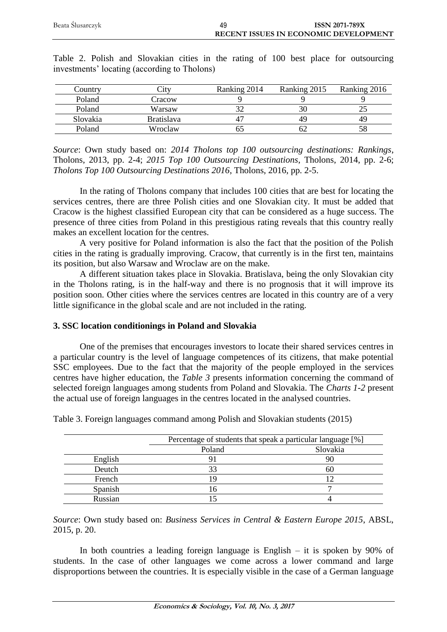| Beata Ślusarczyk | <b>ISSN 2071-789X</b>                        |
|------------------|----------------------------------------------|
|                  | <b>RECENT ISSUES IN ECONOMIC DEVELOPMENT</b> |

| Country  | City              | Ranking 2014 | Ranking 2015 | Ranking 2016 |
|----------|-------------------|--------------|--------------|--------------|
| Poland   | Cracow            |              |              |              |
| Poland   | Warsaw            |              |              |              |
| Slovakia | <b>Bratislava</b> |              |              | 49           |
| Poland   | Wroclaw           |              |              | 58           |

Table 2. Polish and Slovakian cities in the rating of 100 best place for outsourcing investments' locating (according to Tholons)

*Source*: Own study based on: *2014 Tholons top 100 outsourcing destinations: Rankings*, Tholons, 2013, pp. 2-4; *2015 Top 100 Outsourcing Destinations*, Tholons, 2014, pp. 2-6; *Tholons Top 100 Outsourcing Destinations 2016*, Tholons, 2016, pp. 2-5.

In the rating of Tholons company that includes 100 cities that are best for locating the services centres, there are three Polish cities and one Slovakian city. It must be added that Cracow is the highest classified European city that can be considered as a huge success. The presence of three cities from Poland in this prestigious rating reveals that this country really makes an excellent location for the centres.

A very positive for Poland information is also the fact that the position of the Polish cities in the rating is gradually improving. Cracow, that currently is in the first ten, maintains its position, but also Warsaw and Wroclaw are on the make.

A different situation takes place in Slovakia. Bratislava, being the only Slovakian city in the Tholons rating, is in the half-way and there is no prognosis that it will improve its position soon. Other cities where the services centres are located in this country are of a very little significance in the global scale and are not included in the rating.

## **3. SSC location conditionings in Poland and Slovakia**

One of the premises that encourages investors to locate their shared services centres in a particular country is the level of language competences of its citizens, that make potential SSC employees. Due to the fact that the majority of the people employed in the services centres have higher education, the *Table 3* presents information concerning the command of selected foreign languages among students from Poland and Slovakia. The *Charts 1-2* present the actual use of foreign languages in the centres located in the analysed countries.

|         | Percentage of students that speak a particular language [%] |     |
|---------|-------------------------------------------------------------|-----|
|         | Poland<br>Slovakia                                          |     |
| English |                                                             |     |
| Deutch  |                                                             | hl. |
| French  |                                                             |     |
| Spanish | ۱6                                                          |     |
| Russian |                                                             |     |

Table 3. Foreign languages command among Polish and Slovakian students (2015)

*Source*: Own study based on: *Business Services in Central & Eastern Europe 2015*, ABSL, 2015, p. 20.

In both countries a leading foreign language is English  $-$  it is spoken by 90% of students. In the case of other languages we come across a lower command and large disproportions between the countries. It is especially visible in the case of a German language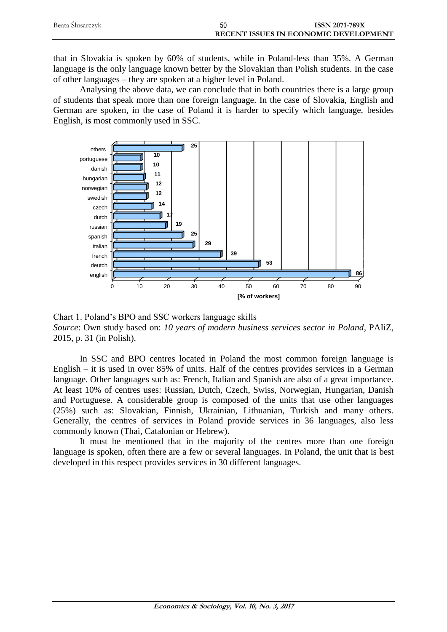| Beata Slusarczyk | 50 | <b>ISSN 2071-789X</b>                        |
|------------------|----|----------------------------------------------|
|                  |    | <b>RECENT ISSUES IN ECONOMIC DEVELOPMENT</b> |

that in Slovakia is spoken by 60% of students, while in Poland-less than 35%. A German language is the only language known better by the Slovakian than Polish students. In the case of other languages – they are spoken at a higher level in Poland.

Analysing the above data, we can conclude that in both countries there is a large group of students that speak more than one foreign language. In the case of Slovakia, English and German are spoken, in the case of Poland it is harder to specify which language, besides English, is most commonly used in SSC.



Chart 1. Poland's BPO and SSC workers language skills *Source*: Own study based on: *10 years of modern business services sector in Poland*, PAIiZ, 2015, p. 31 (in Polish).

In SSC and BPO centres located in Poland the most common foreign language is English – it is used in over 85% of units. Half of the centres provides services in a German language. Other languages such as: French, Italian and Spanish are also of a great importance. At least 10% of centres uses: Russian, Dutch, Czech, Swiss, Norwegian, Hungarian, Danish and Portuguese. A considerable group is composed of the units that use other languages (25%) such as: Slovakian, Finnish, Ukrainian, Lithuanian, Turkish and many others. Generally, the centres of services in Poland provide services in 36 languages, also less commonly known (Thai, Catalonian or Hebrew).

It must be mentioned that in the majority of the centres more than one foreign language is spoken, often there are a few or several languages. In Poland, the unit that is best developed in this respect provides services in 30 different languages.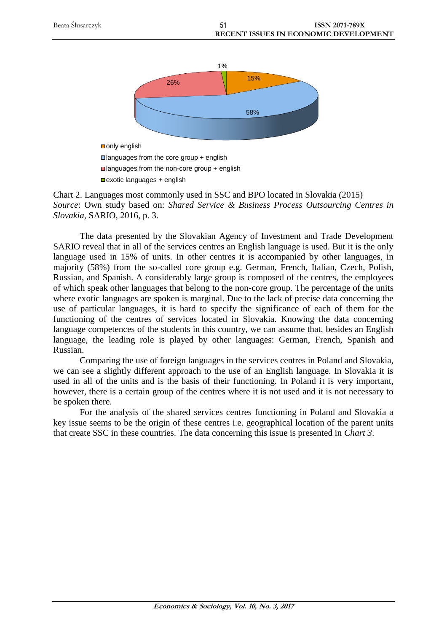

■exotic languages + english

Chart 2. Languages most commonly used in SSC and BPO located in Slovakia (2015) *Source*: Own study based on: *Shared Service & Business Process Outsourcing Centres in Slovakia*, SARIO, 2016, p. 3.

The data presented by the Slovakian Agency of Investment and Trade Development SARIO reveal that in all of the services centres an English language is used. But it is the only language used in 15% of units. In other centres it is accompanied by other languages, in majority (58%) from the so-called core group e.g. German, French, Italian, Czech, Polish, Russian, and Spanish. A considerably large group is composed of the centres, the employees of which speak other languages that belong to the non-core group. The percentage of the units where exotic languages are spoken is marginal. Due to the lack of precise data concerning the use of particular languages, it is hard to specify the significance of each of them for the functioning of the centres of services located in Slovakia. Knowing the data concerning language competences of the students in this country, we can assume that, besides an English language, the leading role is played by other languages: German, French, Spanish and Russian.

Comparing the use of foreign languages in the services centres in Poland and Slovakia, we can see a slightly different approach to the use of an English language. In Slovakia it is used in all of the units and is the basis of their functioning. In Poland it is very important, however, there is a certain group of the centres where it is not used and it is not necessary to be spoken there.

For the analysis of the shared services centres functioning in Poland and Slovakia a key issue seems to be the origin of these centres i.e. geographical location of the parent units that create SSC in these countries. The data concerning this issue is presented in *Chart 3*.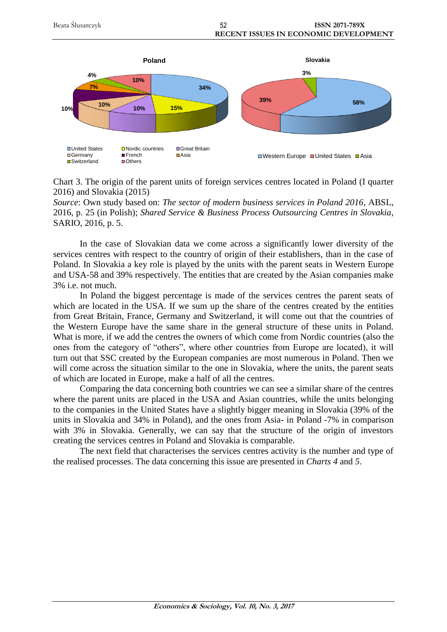



*Source*: Own study based on: *The sector of modern business services in Poland 2016*, ABSL, 2016, p. 25 (in Polish); *Shared Service & Business Process Outsourcing Centres in Slovakia*, SARIO, 2016, p. 5.

In the case of Slovakian data we come across a significantly lower diversity of the services centres with respect to the country of origin of their establishers, than in the case of Poland. In Slovakia a key role is played by the units with the parent seats in Western Europe and USA-58 and 39% respectively. The entities that are created by the Asian companies make 3% i.e. not much.

In Poland the biggest percentage is made of the services centres the parent seats of which are located in the USA. If we sum up the share of the centres created by the entities from Great Britain, France, Germany and Switzerland, it will come out that the countries of the Western Europe have the same share in the general structure of these units in Poland. What is more, if we add the centres the owners of which come from Nordic countries (also the ones from the category of "others", where other countries from Europe are located), it will turn out that SSC created by the European companies are most numerous in Poland. Then we will come across the situation similar to the one in Slovakia, where the units, the parent seats of which are located in Europe, make a half of all the centres.

Comparing the data concerning both countries we can see a similar share of the centres where the parent units are placed in the USA and Asian countries, while the units belonging to the companies in the United States have a slightly bigger meaning in Slovakia (39% of the units in Slovakia and 34% in Poland), and the ones from Asia- in Poland -7% in comparison with 3% in Slovakia. Generally, we can say that the structure of the origin of investors creating the services centres in Poland and Slovakia is comparable.

The next field that characterises the services centres activity is the number and type of the realised processes. The data concerning this issue are presented in *Charts 4* and *5*.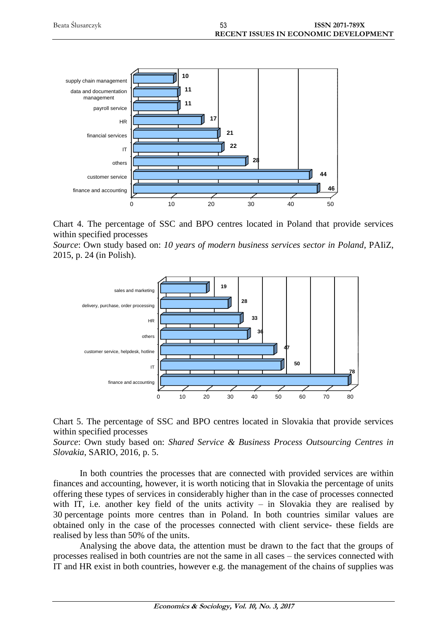





*Source*: Own study based on: *10 years of modern business services sector in Poland*, PAIiZ, 2015, p. 24 (in Polish).



Chart 5. The percentage of SSC and BPO centres located in Slovakia that provide services within specified processes

*Source*: Own study based on: *Shared Service & Business Process Outsourcing Centres in Slovakia*, SARIO, 2016, p. 5.

In both countries the processes that are connected with provided services are within finances and accounting, however, it is worth noticing that in Slovakia the percentage of units offering these types of services in considerably higher than in the case of processes connected with IT, i.e. another key field of the units activity – in Slovakia they are realised by 30 percentage points more centres than in Poland. In both countries similar values are obtained only in the case of the processes connected with client service- these fields are realised by less than 50% of the units.

Analysing the above data, the attention must be drawn to the fact that the groups of processes realised in both countries are not the same in all cases – the services connected with IT and HR exist in both countries, however e.g. the management of the chains of supplies was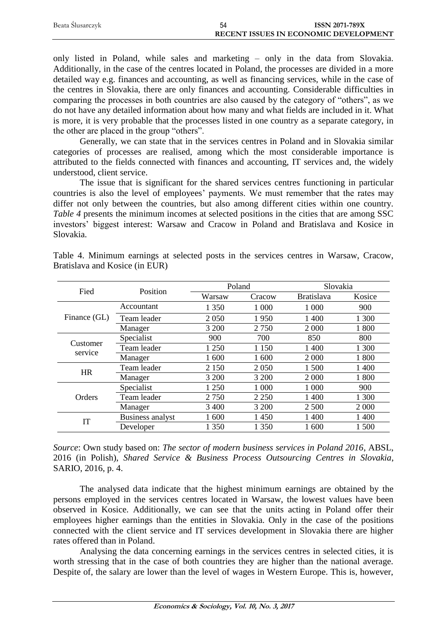| Beata Ślusarczyk | 54 | <b>ISSN 2071-789X</b>                        |
|------------------|----|----------------------------------------------|
|                  |    | <b>RECENT ISSUES IN ECONOMIC DEVELOPMENT</b> |

only listed in Poland, while sales and marketing – only in the data from Slovakia. Additionally, in the case of the centres located in Poland, the processes are divided in a more detailed way e.g. finances and accounting, as well as financing services, while in the case of the centres in Slovakia, there are only finances and accounting. Considerable difficulties in comparing the processes in both countries are also caused by the category of "others", as we do not have any detailed information about how many and what fields are included in it. What is more, it is very probable that the processes listed in one country as a separate category, in the other are placed in the group "others".

Generally, we can state that in the services centres in Poland and in Slovakia similar categories of processes are realised, among which the most considerable importance is attributed to the fields connected with finances and accounting, IT services and, the widely understood, client service.

The issue that is significant for the shared services centres functioning in particular countries is also the level of employees' payments. We must remember that the rates may differ not only between the countries, but also among different cities within one country. *Table 4* presents the minimum incomes at selected positions in the cities that are among SSC investors' biggest interest: Warsaw and Cracow in Poland and Bratislava and Kosice in Slovakia.

| Fied         | Position         | Poland  |         | Slovakia          |         |
|--------------|------------------|---------|---------|-------------------|---------|
|              |                  | Warsaw  | Cracow  | <b>Bratislava</b> | Kosice  |
|              | Accountant       | 1 350   | 1 0 0 0 | 1 0 0 0           | 900     |
| Finance (GL) | Team leader      | 2 0 5 0 | 1950    | 1 400             | 1 300   |
|              | Manager          | 3 200   | 2750    | 2 0 0 0           | 1800    |
| Customer     | Specialist       | 900     | 700     | 850               | 800     |
| service      | Team leader      | 1 250   | 1 1 5 0 | 1 400             | 1 300   |
|              | Manager          | 1 600   | 1 600   | 2 0 0 0           | 1 800   |
| <b>HR</b>    | Team leader      | 2 1 5 0 | 2 0 5 0 | 1 500             | 1 400   |
|              | Manager          | 3 200   | 3 200   | 2 0 0 0           | 1 800   |
|              | Specialist       | 1 250   | 1 000   | 1 0 0 0           | 900     |
| Orders       | Team leader      | 2 7 5 0 | 2 2 5 0 | 1400              | 1 300   |
|              | Manager          | 3 400   | 3 200   | 2 5 0 0           | 2 0 0 0 |
| IT           | Business analyst | 1 600   | 1450    | 1 400             | 1 400   |
|              | Developer        | 1 350   | 1 350   | 1 600             | 1 500   |

Table 4. Minimum earnings at selected posts in the services centres in Warsaw, Cracow, Bratislava and Kosice (in EUR)

*Source*: Own study based on: *The sector of modern business services in Poland 2016*, ABSL, 2016 (in Polish), *Shared Service & Business Process Outsourcing Centres in Slovakia*, SARIO, 2016, p. 4.

The analysed data indicate that the highest minimum earnings are obtained by the persons employed in the services centres located in Warsaw, the lowest values have been observed in Kosice. Additionally, we can see that the units acting in Poland offer their employees higher earnings than the entities in Slovakia. Only in the case of the positions connected with the client service and IT services development in Slovakia there are higher rates offered than in Poland.

Analysing the data concerning earnings in the services centres in selected cities, it is worth stressing that in the case of both countries they are higher than the national average. Despite of, the salary are lower than the level of wages in Western Europe. This is, however,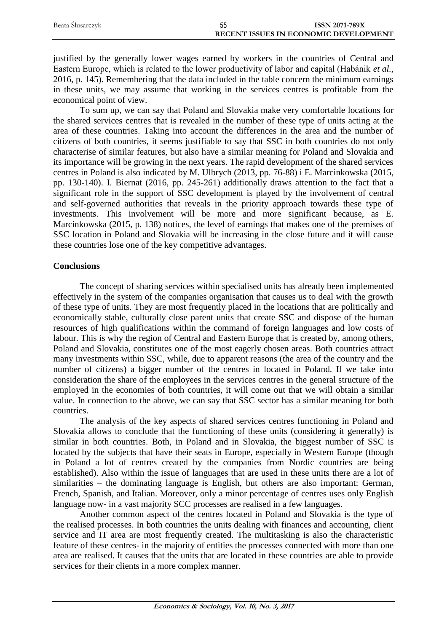| Beata Slusarczyk | 55 | <b>ISSN 2071-789X</b>                 |
|------------------|----|---------------------------------------|
|                  |    | RECENT ISSUES IN ECONOMIC DEVELOPMENT |

justified by the generally lower wages earned by workers in the countries of Central and Eastern Europe, which is related to the lower productivity of labor and capital (Habánik *et al.*, 2016, p. 145). Remembering that the data included in the table concern the minimum earnings in these units, we may assume that working in the services centres is profitable from the economical point of view.

To sum up, we can say that Poland and Slovakia make very comfortable locations for the shared services centres that is revealed in the number of these type of units acting at the area of these countries. Taking into account the differences in the area and the number of citizens of both countries, it seems justifiable to say that SSC in both countries do not only characterise of similar features, but also have a similar meaning for Poland and Slovakia and its importance will be growing in the next years. The rapid development of the shared services centres in Poland is also indicated by M. Ulbrych (2013, pp. 76-88) i E. Marcinkowska (2015, pp. 130-140). I. Biernat (2016, pp. 245-261) additionally draws attention to the fact that a significant role in the support of SSC development is played by the involvement of central and self-governed authorities that reveals in the priority approach towards these type of investments. This involvement will be more and more significant because, as E. Marcinkowska (2015, p. 138) notices, the level of earnings that makes one of the premises of SSC location in Poland and Slovakia will be increasing in the close future and it will cause these countries lose one of the key competitive advantages.

#### **Conclusions**

The concept of sharing services within specialised units has already been implemented effectively in the system of the companies organisation that causes us to deal with the growth of these type of units. They are most frequently placed in the locations that are politically and economically stable, culturally close parent units that create SSC and dispose of the human resources of high qualifications within the command of foreign languages and low costs of labour. This is why the region of Central and Eastern Europe that is created by, among others, Poland and Slovakia, constitutes one of the most eagerly chosen areas. Both countries attract many investments within SSC, while, due to apparent reasons (the area of the country and the number of citizens) a bigger number of the centres in located in Poland. If we take into consideration the share of the employees in the services centres in the general structure of the employed in the economies of both countries, it will come out that we will obtain a similar value. In connection to the above, we can say that SSC sector has a similar meaning for both countries.

The analysis of the key aspects of shared services centres functioning in Poland and Slovakia allows to conclude that the functioning of these units (considering it generally) is similar in both countries. Both, in Poland and in Slovakia, the biggest number of SSC is located by the subjects that have their seats in Europe, especially in Western Europe (though in Poland a lot of centres created by the companies from Nordic countries are being established). Also within the issue of languages that are used in these units there are a lot of similarities – the dominating language is English, but others are also important: German, French, Spanish, and Italian. Moreover, only a minor percentage of centres uses only English language now- in a vast majority SCC processes are realised in a few languages.

Another common aspect of the centres located in Poland and Slovakia is the type of the realised processes. In both countries the units dealing with finances and accounting, client service and IT area are most frequently created. The multitasking is also the characteristic feature of these centres- in the majority of entities the processes connected with more than one area are realised. It causes that the units that are located in these countries are able to provide services for their clients in a more complex manner.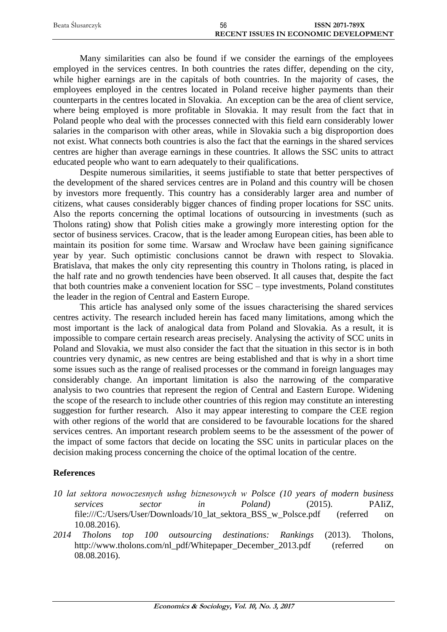| Beata Slusarczyk | 56 | <b>ISSN 2071-789X</b>                 |
|------------------|----|---------------------------------------|
|                  |    | RECENT ISSUES IN ECONOMIC DEVELOPMENT |

Many similarities can also be found if we consider the earnings of the employees employed in the services centres. In both countries the rates differ, depending on the city, while higher earnings are in the capitals of both countries. In the majority of cases, the employees employed in the centres located in Poland receive higher payments than their counterparts in the centres located in Slovakia. An exception can be the area of client service, where being employed is more profitable in Slovakia. It may result from the fact that in Poland people who deal with the processes connected with this field earn considerably lower salaries in the comparison with other areas, while in Slovakia such a big disproportion does not exist. What connects both countries is also the fact that the earnings in the shared services centres are higher than average earnings in these countries. It allows the SSC units to attract educated people who want to earn adequately to their qualifications.

Despite numerous similarities, it seems justifiable to state that better perspectives of the development of the shared services centres are in Poland and this country will be chosen by investors more frequently. This country has a considerably larger area and number of citizens, what causes considerably bigger chances of finding proper locations for SSC units. Also the reports concerning the optimal locations of outsourcing in investments (such as Tholons rating) show that Polish cities make a growingly more interesting option for the sector of business services. Cracow, that is the leader among European cities, has been able to maintain its position for some time. Warsaw and Wrocław have been gaining significance year by year. Such optimistic conclusions cannot be drawn with respect to Slovakia. Bratislava, that makes the only city representing this country in Tholons rating, is placed in the half rate and no growth tendencies have been observed. It all causes that, despite the fact that both countries make a convenient location for SSC – type investments, Poland constitutes the leader in the region of Central and Eastern Europe.

This article has analysed only some of the issues characterising the shared services centres activity. The research included herein has faced many limitations, among which the most important is the lack of analogical data from Poland and Slovakia. As a result, it is impossible to compare certain research areas precisely. Analysing the activity of SCC units in Poland and Slovakia, we must also consider the fact that the situation in this sector is in both countries very dynamic, as new centres are being established and that is why in a short time some issues such as the range of realised processes or the command in foreign languages may considerably change. An important limitation is also the narrowing of the comparative analysis to two countries that represent the region of Central and Eastern Europe. Widening the scope of the research to include other countries of this region may constitute an interesting suggestion for further research. Also it may appear interesting to compare the CEE region with other regions of the world that are considered to be favourable locations for the shared services centres. An important research problem seems to be the assessment of the power of the impact of some factors that decide on locating the SSC units in particular places on the decision making process concerning the choice of the optimal location of the centre.

## **References**

- *10 lat sektora nowoczesnych usług biznesowych w Polsce (10 years of modern business services sector in Poland)* (2015). PAIiZ, [file:///C:/Users/User/Downloads/10\\_lat\\_sektora\\_BSS\\_w\\_Polsce.pdf](file:///C:/Users/User/Downloads/10_lat_sektora_BSS_w_Polsce.pdf) (referred on 10.08.2016).
- *2014 Tholons top 100 outsourcing destinations: Rankings* (2013). Tholons, [http://www.tholons.com/nl\\_pdf/Whitepaper\\_December\\_2013.pdf](http://www.tholons.com/nl_pdf/Whitepaper_December_2013.pdf) (referred on 08.08.2016).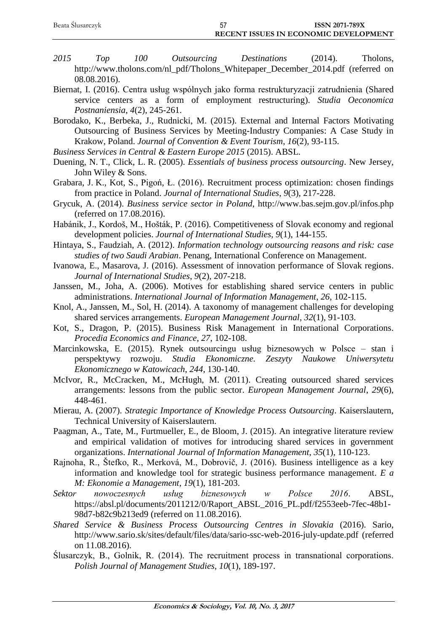| Beata Ślusarczyk | <b>ISSN 2071-789X</b>                        |
|------------------|----------------------------------------------|
|                  | <b>RECENT ISSUES IN ECONOMIC DEVELOPMENT</b> |

- *2015 Top 100 Outsourcing Destinations* (2014). Tholons, [http://www.tholons.com/nl\\_pdf/Tholons\\_Whitepaper\\_December\\_2014.pdf](http://www.tholons.com/nl_pdf/Tholons_Whitepaper_December_2014.pdf) (referred on 08.08.2016).
- Biernat, I. (2016). Centra usług wspólnych jako forma restrukturyzacji zatrudnienia (Shared service centers as a form of employment restructuring). *Studia Oeconomica Postnaniensia*, *4*(2), 245-261.

Borodako, K., Berbeka, J., Rudnicki, M. (2015). External and Internal Factors Motivating Outsourcing of Business Services by Meeting-Industry Companies: A Case Study in Krakow, Poland. *Journal of Convention & Event Tourism*, *16*(2), 93-115.

*Business Services in Central & Eastern Europe 2015* (2015). ABSL.

- Duening, N. T., Click, L. R. (2005). *Essentials of business process outsourcing*. New Jersey, John Wiley & Sons.
- Grabara, J. K., Kot, S., Pigoń, Ł. (2016). Recruitment process optimization: chosen findings from practice in Poland. *Journal of International Studies*, *9*(3), 217-228.
- Grycuk, A. (2014). *Business service sector in Poland*,<http://www.bas.sejm.gov.pl/infos.php> (referred on 17.08.2016).
- Habánik, J., Kordoš, M., Hošták, P. (2016). Competitiveness of Slovak economy and regional development policies. *Journal of International Studies*, *9*(1), 144-155.
- Hintaya, S., Faudziah, A. (2012). *Information technology outsourcing reasons and risk: case studies of two Saudi Arabian*. Penang, International Conference on Management.
- Ivanowa, E., Masarova, J. (2016). Assessment of innovation performance of Slovak regions. *Journal of International Studies*, *9*(2), 207-218.
- Janssen, M., Joha, A. (2006). Motives for establishing shared service centers in public administrations. *International Journal of Information Management*, *26*, 102-115.
- Knol, A., Janssen, M., Sol, H. (2014). A taxonomy of management challenges for developing shared services arrangements. *European Management Journal*, *32*(1), 91-103.
- Kot, S., Dragon, P. (2015). Business Risk Management in International Corporations. *Procedia Economics and Finance*, *27*, 102-108.
- Marcinkowska, E. (2015). Rynek outsourcingu usług biznesowych w Polsce stan i perspektywy rozwoju. *Studia Ekonomiczne. Zeszyty Naukowe Uniwersytetu Ekonomicznego w Katowicach*, *244*, 130-140.
- McIvor, R., McCracken, M., McHugh, M. (2011). Creating outsourced shared services arrangements: lessons from the public sector. *European Management Journal*, *29*(6), 448-461.
- Mierau, A. (2007). *Strategic Importance of Knowledge Process Outsourcing*. Kaiserslautern, Technical University of Kaiserslautern.
- Paagman, A., Tate, M., Furtmueller, E., de Bloom, J. (2015). An integrative literature review and empirical validation of motives for introducing shared services in government organizations. *International Journal of Information Management*, *35*(1), 110-123.
- Rajnoha, R., Štefko, R., Merková, M., Dobrovič, J. (2016). Business intelligence as a key information and knowledge tool for strategic business performance management. *E a M: Ekonomie a Management*, *19*(1), 181-203.
- *Sektor nowoczesnych usług biznesowych w Polsce 2016*. ABSL, [https://absl.pl/documents/2011212/0/Raport\\_ABSL\\_2016\\_PL.pdf/f2553eeb-7fec-48b1-](https://absl.pl/documents/2011212/0/Raport_ABSL_2016_PL.pdf/f2553eeb-7fec-48b1-98d7-b82c9b213ed9) [98d7-b82c9b213ed9](https://absl.pl/documents/2011212/0/Raport_ABSL_2016_PL.pdf/f2553eeb-7fec-48b1-98d7-b82c9b213ed9) (referred on 11.08.2016).
- *Shared Service & Business Process Outsourcing Centres in Slovakia* (2016). Sario, <http://www.sario.sk/sites/default/files/data/sario-ssc-web-2016-july-update.pdf> (referred on 11.08.2016).
- Ślusarczyk, B., Golnik, R. (2014). The recruitment process in transnational corporations. *Polish Journal of Management Studies*, *10*(1), 189-197.